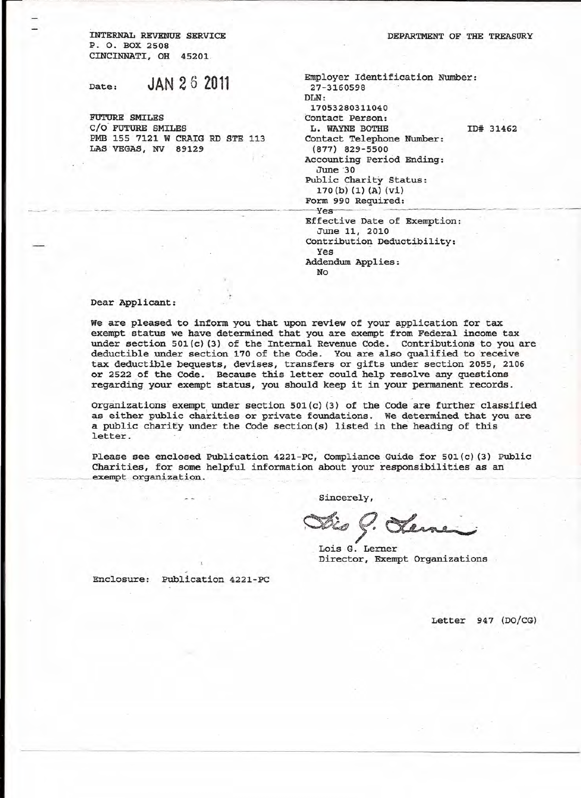INTERNAL REVENUE SERVICE P. O. BOX 2508 CINCINNATI, OR 45201

Date: **JAN 26 2011**

FUTURE SMILES C/O FUTURE SMILES PMB 155 7121 W CRAIG RD STE 113 LAS VEGAS, NV 89129

| DEPARTMENT OF THE TREASURY |  |  |
|----------------------------|--|--|
|                            |  |  |

Employer Identification Number: 27-3160598 DLN: 17053280311040 Contact Person: L. WAYNE BOTHE Contact Telephone Number: (877) 829-5500 Accounting Period Ending: *June* 30 Public Charity Status: 170 (b) (1) (A) (vi) Form 990 Required: -----yes----~-- .--......,.~. Effective Date of Exemption: ID# 31462

June 11, 2010 contribution Deductibility: Yes Addendum Applies: No

Dear Applicant:

We are pleased to inform you that upon review of your application for tax exempt status we have determined that you are exempt from Federal income tax under section  $501(c)$  (3) of the Internal Revenue Code. Contributions to you are deductible under section 170 of the Code. You are also qualified to receive tax deductible bequests, devises, transfers or gifts under section 2055, 2106 or 2522 of the Code. Because this letter could help resolve any questions regarding your exempt status, you should keep it in your permanent records.

Organizations exempt under section  $501(c)$  (3) of the Code are further classified as either public charities or private foundations. We determined that you are a public charify under the Code section(s) listed in the heading of this letter.

Please see enclosed Publication 4221-PC, Compliance Guide for 501(c) (3) Public Charities, for some helpful information about your responsibilities as an exempt organization.

Sincerely,

 $\%$  . Jeme

Lois G. Lerner Director, Exempt Organizations

Enclosure:. Publication 4221-PC

Letter 947 (DO/CG)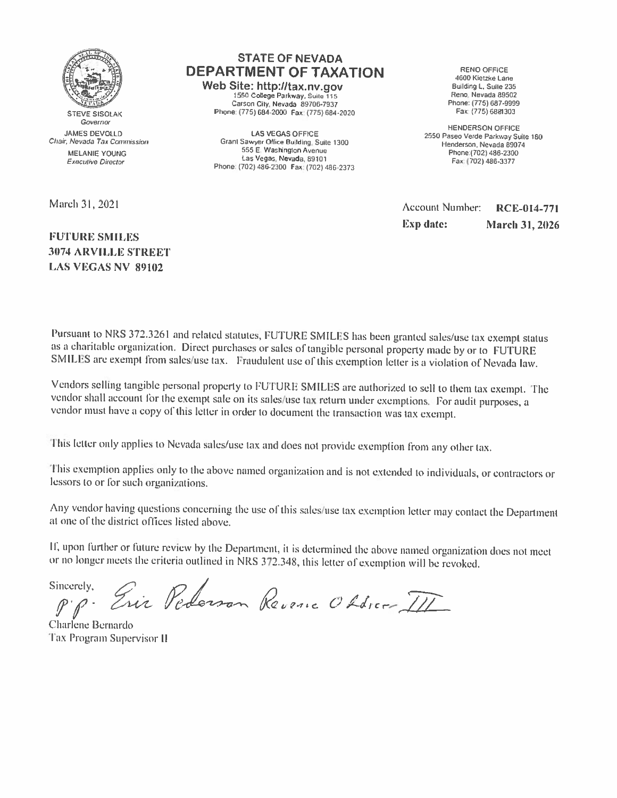

**STEVE SISOLAK** Governor **JAMES DEVOLLD** Chair, Nevada Tax Commission MELANIE YOUNG **Executive Director** 

March 31, 2021

## **FUTURE SMILES 3074 ARVILLE STREET LAS VEGAS NV 89102**

## **STATE OF NEVADA DEPARTMENT OF TAXATION**

Web Site: http://tax.nv.gov 1550 College Parkway, Suite 115 Carson City, Nevada 89706-7937 Phone: (775) 684-2000 Fax: (775) 684-2020

**LAS VEGAS OFFICE** Grant Sawyer Office Building, Suite 1300 555 E. Washington Avenue Las Vegas, Nevada, 89101 Phone: (702) 486-2300 Fax: (702) 486-2373

**RENO OFFICE** 4600 Kietzke Lane Building L. Suite 235 Reno, Nevada 89502 Phone: (775) 687-9999 Fax: (775) 6881303

**HENDERSON OFFICE** 2550 Paseo Verde Parkway Suite 180 Henderson, Nevada 89074 Phone:(702) 486-2300 Fax: (702) 486-3377

Account Number: RCE-014-771 **Exp** date: **March 31, 2026** 

Pursuant to NRS 372.3261 and related statutes, FUTURE SMILES has been granted sales/use tax exempt status as a charitable organization. Direct purchases or sales of tangible personal property made by or to FUTURE SMILES are exempt from sales/use tax. Fraudulent use of this exemption letter is a violation of Nevada law.

Vendors selling tangible personal property to FUTURE SMILES are authorized to sell to them tax exempt. The vendor shall account for the exempt sale on its sales/use tax return under exemptions. For audit purposes, a vendor must have a copy of this letter in order to document the transaction was tax exempt.

This letter only applies to Nevada sales/use tax and does not provide exemption from any other tax.

This exemption applies only to the above named organization and is not extended to individuals, or contractors or lessors to or for such organizations.

Any vendor having questions concerning the use of this sales/use tax exemption letter may contact the Department at one of the district offices listed above.

If, upon further or future review by the Department, it is determined the above named organization does not meet or no longer meets the criteria outlined in NRS 372.348, this letter of exemption will be revoked.

Eric Pederson Revenic Obdrer III Sincerely,

Charlene Bernardo Tax Program Supervisor II